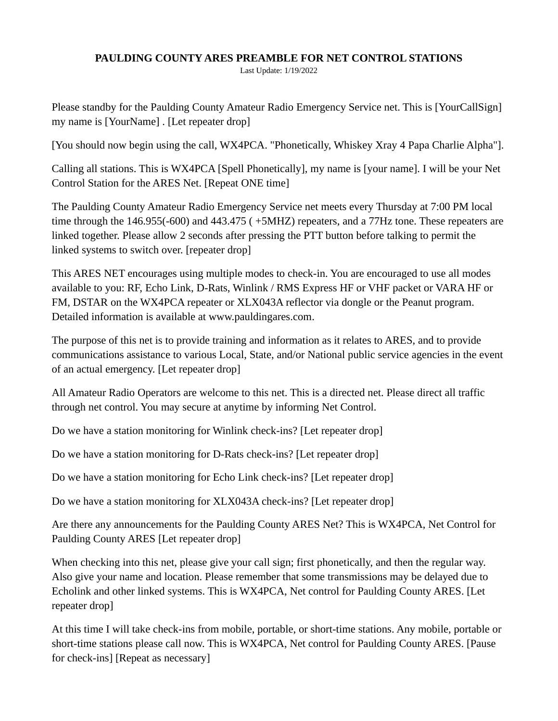## **PAULDING COUNTY ARES PREAMBLE FOR NET CONTROL STATIONS**

Last Update: 1/19/2022

Please standby for the Paulding County Amateur Radio Emergency Service net. This is [YourCallSign] my name is [YourName] . [Let repeater drop]

[You should now begin using the call, WX4PCA. "Phonetically, Whiskey Xray 4 Papa Charlie Alpha"].

Calling all stations. This is WX4PCA [Spell Phonetically], my name is [your name]. I will be your Net Control Station for the ARES Net. [Repeat ONE time]

The Paulding County Amateur Radio Emergency Service net meets every Thursday at 7:00 PM local time through the 146.955(-600) and 443.475 ( +5MHZ) repeaters, and a 77Hz tone. These repeaters are linked together. Please allow 2 seconds after pressing the PTT button before talking to permit the linked systems to switch over. [repeater drop]

This ARES NET encourages using multiple modes to check-in. You are encouraged to use all modes available to you: RF, Echo Link, D-Rats, Winlink / RMS Express HF or VHF packet or VARA HF or FM, DSTAR on the WX4PCA repeater or XLX043A reflector via dongle or the Peanut program. Detailed information is available at [www.pauldingares.com](http://www.pauldingares.com/).

The purpose of this net is to provide training and information as it relates to ARES, and to provide communications assistance to various Local, State, and/or National public service agencies in the event of an actual emergency. [Let repeater drop]

All Amateur Radio Operators are welcome to this net. This is a directed net. Please direct all traffic through net control. You may secure at anytime by informing Net Control.

Do we have a station monitoring for Winlink check-ins? [Let repeater drop]

Do we have a station monitoring for D-Rats check-ins? [Let repeater drop]

Do we have a station monitoring for Echo Link check-ins? [Let repeater drop]

Do we have a station monitoring for XLX043A check-ins? [Let repeater drop]

Are there any announcements for the Paulding County ARES Net? This is WX4PCA, Net Control for Paulding County ARES [Let repeater drop]

When checking into this net, please give your call sign; first phonetically, and then the regular way. Also give your name and location. Please remember that some transmissions may be delayed due to Echolink and other linked systems. This is WX4PCA, Net control for Paulding County ARES. [Let repeater drop]

At this time I will take check-ins from mobile, portable, or short-time stations. Any mobile, portable or short-time stations please call now. This is WX4PCA, Net control for Paulding County ARES. [Pause for check-ins] [Repeat as necessary]